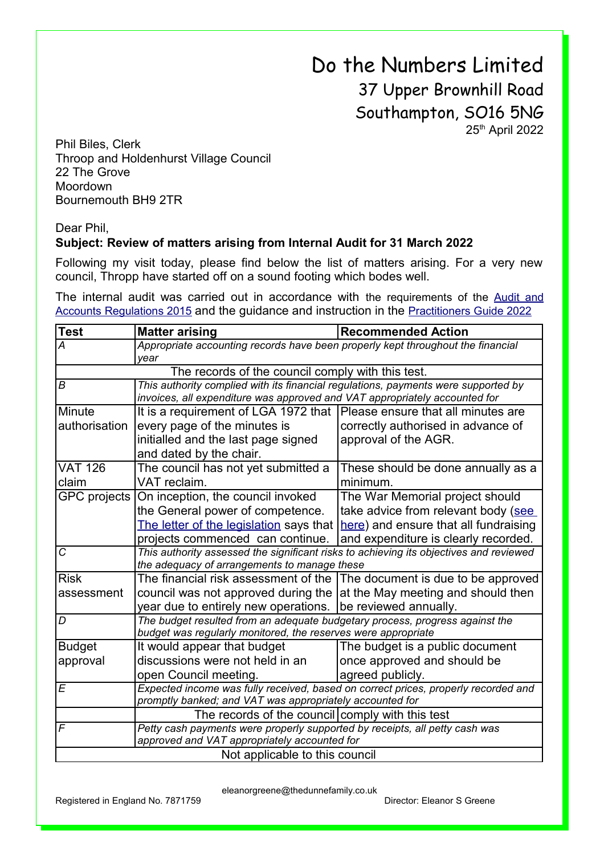Do the Numbers Limited 37 Upper Brownhill Road Southampton, SO16 5NG 25th April 2022

Phil Biles, Clerk Throop and Holdenhurst Village Council 22 The Grove Moordown Bournemouth BH9 2TR

Dear Phil,

## **Subject: Review of matters arising from Internal Audit for 31 March 2022**

Following my visit today, please find below the list of matters arising. For a very new council, Thropp have started off on a sound footing which bodes well.

The internal audit was carried out in accordance with the requirements of the [Audit and](https://www.legislation.gov.uk/uksi/2015/234/contents/made) [Accounts Regulations 2015](https://www.legislation.gov.uk/uksi/2015/234/contents/made) and the guidance and instruction in the [Practitioners Guide 2022](https://www.nalc.gov.uk/library/our-work/jpag/3698-practitioners-guide-2022/file)

| <b>Test</b>                                       | <b>Matter arising</b>                                                                   | <b>Recommended Action</b>                                                 |  |
|---------------------------------------------------|-----------------------------------------------------------------------------------------|---------------------------------------------------------------------------|--|
| А                                                 | Appropriate accounting records have been properly kept throughout the financial<br>year |                                                                           |  |
| The records of the council comply with this test. |                                                                                         |                                                                           |  |
| B                                                 | This authority complied with its financial regulations, payments were supported by      |                                                                           |  |
|                                                   | invoices, all expenditure was approved and VAT appropriately accounted for              |                                                                           |  |
| Minute                                            | It is a requirement of LGA 1972 that   Please ensure that all minutes are               |                                                                           |  |
| authorisation                                     | every page of the minutes is                                                            | correctly authorised in advance of                                        |  |
|                                                   | initialled and the last page signed                                                     | approval of the AGR.                                                      |  |
|                                                   | and dated by the chair.                                                                 |                                                                           |  |
| <b>VAT 126</b>                                    | The council has not yet submitted a                                                     | These should be done annually as a                                        |  |
| claim                                             | VAT reclaim.                                                                            | minimum.                                                                  |  |
| GPC projects                                      | On inception, the council invoked                                                       | The War Memorial project should                                           |  |
|                                                   | the General power of competence.                                                        | take advice from relevant body (see                                       |  |
|                                                   | The letter of the legislation says that                                                 | here) and ensure that all fundraising                                     |  |
|                                                   | projects commenced can continue.                                                        | and expenditure is clearly recorded.                                      |  |
| $\overline{C}$                                    | This authority assessed the significant risks to achieving its objectives and reviewed  |                                                                           |  |
|                                                   | the adequacy of arrangements to manage these                                            |                                                                           |  |
| <b>Risk</b>                                       |                                                                                         | The financial risk assessment of the   The document is due to be approved |  |
| assessment                                        | council was not approved during the                                                     | at the May meeting and should then                                        |  |
|                                                   | year due to entirely new operations.   be reviewed annually.                            |                                                                           |  |
| D                                                 | The budget resulted from an adequate budgetary process, progress against the            |                                                                           |  |
|                                                   | budget was regularly monitored, the reserves were appropriate                           |                                                                           |  |
| <b>Budget</b>                                     | It would appear that budget                                                             | The budget is a public document                                           |  |
| approval                                          | discussions were not held in an                                                         | once approved and should be                                               |  |
|                                                   | open Council meeting.                                                                   | agreed publicly.                                                          |  |
| E                                                 | Expected income was fully received, based on correct prices, properly recorded and      |                                                                           |  |
|                                                   | promptly banked; and VAT was appropriately accounted for                                |                                                                           |  |
|                                                   | The records of the council comply with this test                                        |                                                                           |  |
| F                                                 | Petty cash payments were properly supported by receipts, all petty cash was             |                                                                           |  |
| approved and VAT appropriately accounted for      |                                                                                         |                                                                           |  |
| Not applicable to this council                    |                                                                                         |                                                                           |  |